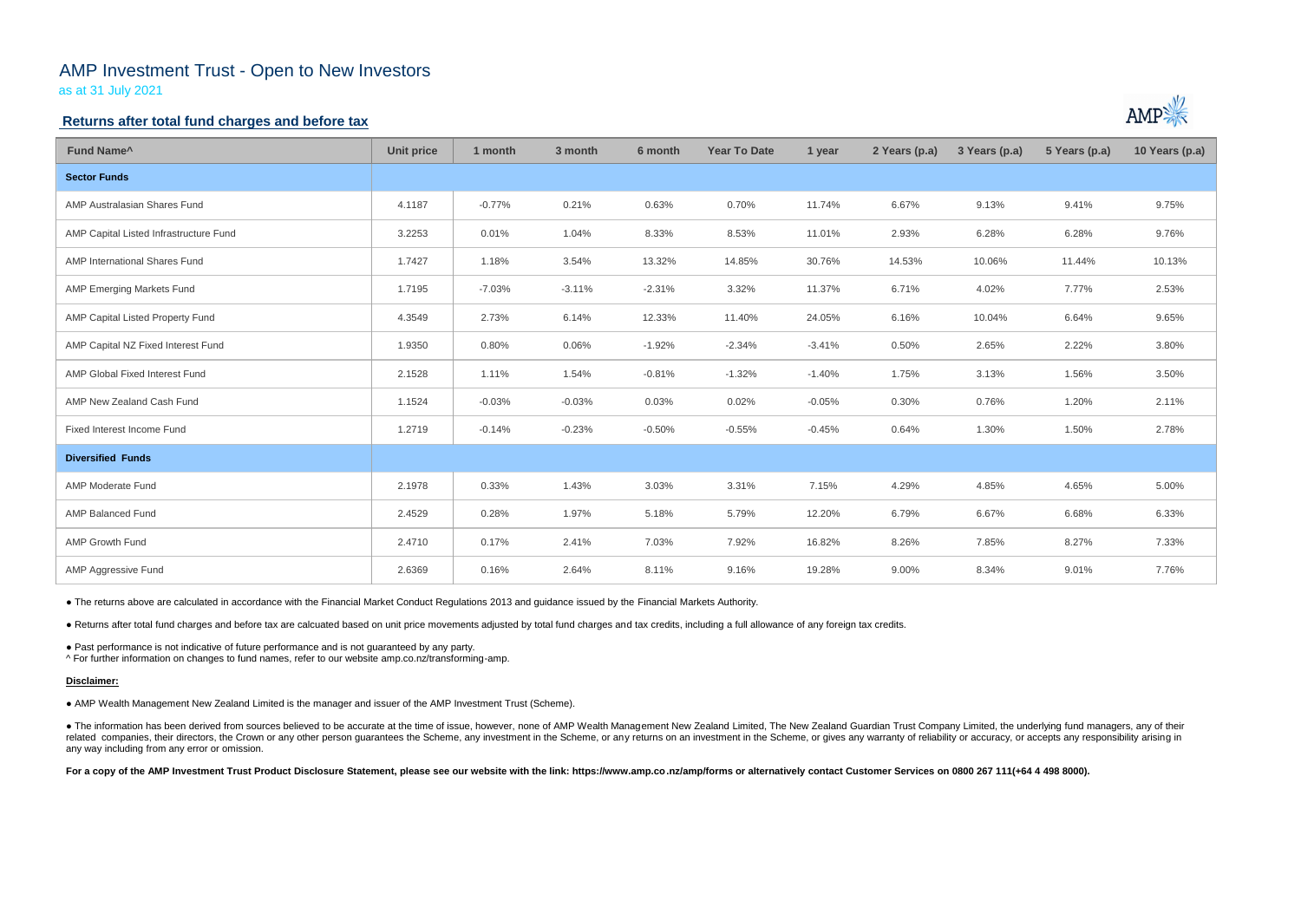# AMP Investment Trust - Open to New Investors

as at 31 July 2021

### **Returns after total fund charges and before tax**

| Fund Name <sup>^</sup>                 | <b>Unit price</b> | 1 month  | 3 month  | 6 month  | <b>Year To Date</b> | 1 year   | 2 Years (p.a) | 3 Years (p.a) | 5 Years (p.a) | 10 Years (p.a) |
|----------------------------------------|-------------------|----------|----------|----------|---------------------|----------|---------------|---------------|---------------|----------------|
| <b>Sector Funds</b>                    |                   |          |          |          |                     |          |               |               |               |                |
| AMP Australasian Shares Fund           | 4.1187            | $-0.77%$ | 0.21%    | 0.63%    | 0.70%               | 11.74%   | 6.67%         | 9.13%         | 9.41%         | 9.75%          |
| AMP Capital Listed Infrastructure Fund | 3.2253            | 0.01%    | 1.04%    | 8.33%    | 8.53%               | 11.01%   | 2.93%         | 6.28%         | 6.28%         | 9.76%          |
| AMP International Shares Fund          | 1.7427            | 1.18%    | 3.54%    | 13.32%   | 14.85%              | 30.76%   | 14.53%        | 10.06%        | 11.44%        | 10.13%         |
| <b>AMP Emerging Markets Fund</b>       | 1.7195            | $-7.03%$ | $-3.11%$ | $-2.31%$ | 3.32%               | 11.37%   | 6.71%         | 4.02%         | 7.77%         | 2.53%          |
| AMP Capital Listed Property Fund       | 4.3549            | 2.73%    | 6.14%    | 12.33%   | 11.40%              | 24.05%   | 6.16%         | 10.04%        | 6.64%         | 9.65%          |
| AMP Capital NZ Fixed Interest Fund     | 1.9350            | 0.80%    | 0.06%    | $-1.92%$ | $-2.34%$            | $-3.41%$ | 0.50%         | 2.65%         | 2.22%         | 3.80%          |
| AMP Global Fixed Interest Fund         | 2.1528            | 1.11%    | 1.54%    | $-0.81%$ | $-1.32%$            | $-1.40%$ | 1.75%         | 3.13%         | 1.56%         | 3.50%          |
| AMP New Zealand Cash Fund              | 1.1524            | $-0.03%$ | $-0.03%$ | 0.03%    | 0.02%               | $-0.05%$ | 0.30%         | 0.76%         | 1.20%         | 2.11%          |
| Fixed Interest Income Fund             | 1.2719            | $-0.14%$ | $-0.23%$ | $-0.50%$ | $-0.55%$            | $-0.45%$ | 0.64%         | 1.30%         | 1.50%         | 2.78%          |
| <b>Diversified Funds</b>               |                   |          |          |          |                     |          |               |               |               |                |
| AMP Moderate Fund                      | 2.1978            | 0.33%    | 1.43%    | 3.03%    | 3.31%               | 7.15%    | 4.29%         | 4.85%         | 4.65%         | 5.00%          |
| AMP Balanced Fund                      | 2.4529            | 0.28%    | 1.97%    | 5.18%    | 5.79%               | 12.20%   | 6.79%         | 6.67%         | 6.68%         | 6.33%          |
| AMP Growth Fund                        | 2.4710            | 0.17%    | 2.41%    | 7.03%    | 7.92%               | 16.82%   | 8.26%         | 7.85%         | 8.27%         | 7.33%          |
| AMP Aggressive Fund                    | 2.6369            | 0.16%    | 2.64%    | 8.11%    | 9.16%               | 19.28%   | 9.00%         | 8.34%         | 9.01%         | 7.76%          |

• The information has been derived from sources believed to be accurate at the time of issue, however, none of AMP Wealth Management New Zealand Limited, The New Zealand Guardian Trust Company Limited, the underlying fund related companies, their directors, the Crown or any other person guarantees the Scheme, any investment in the Scheme, or any returns on an investment in the Scheme, or gives any warranty of reliability or accuracy, or acc any way including from any error or omission.

For a copy of the AMP Investment Trust Product Disclosure Statement, please see our website with the link: https://www.amp.co.nz/amp/forms or alternatively contact Customer Services on 0800 267 111(+64 4 498 8000).



● The returns above are calculated in accordance with the Financial Market Conduct Regulations 2013 and guidance issued by the Financial Markets Authority.

● Returns after total fund charges and before tax are calcuated based on unit price movements adjusted by total fund charges and tax credits, including a full allowance of any foreign tax credits.

● Past performance is not indicative of future performance and is not guaranteed by any party.

^ For further information on changes to fund names, refer to our website amp.co.nz/transforming-amp.

#### **Disclaimer:**

● AMP Wealth Management New Zealand Limited is the manager and issuer of the AMP Investment Trust (Scheme).